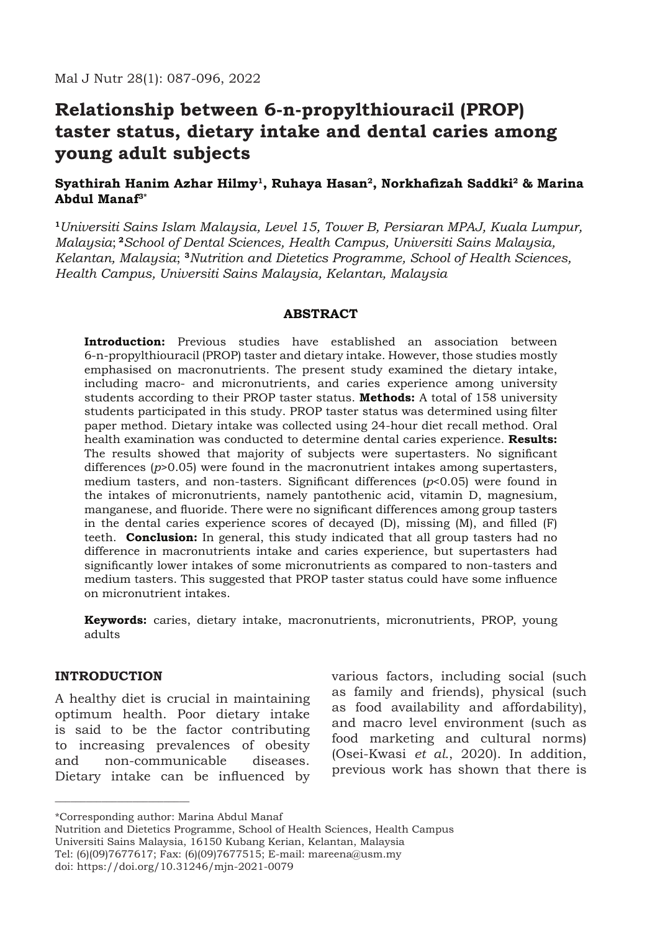# **Relationship between 6-n-propylthiouracil (PROP) taster status, dietary intake and dental caries among young adult subjects**

# **Syathirah Hanim Azhar Hilmy1, Ruhaya Hasan2, Norkhafizah Saddki2 & Marina Abdul Manaf3\***

**<sup>1</sup>***Universiti Sains Islam Malaysia, Level 15, Tower B, Persiaran MPAJ, Kuala Lumpur, Malaysia*; **<sup>2</sup>***School of Dental Sciences, Health Campus, Universiti Sains Malaysia, Kelantan, Malaysia*; **<sup>3</sup>***Nutrition and Dietetics Programme, School of Health Sciences, Health Campus, Universiti Sains Malaysia, Kelantan, Malaysia*

## **ABSTRACT**

**Introduction:** Previous studies have established an association between 6-n-propylthiouracil (PROP) taster and dietary intake. However, those studies mostly emphasised on macronutrients. The present study examined the dietary intake, including macro- and micronutrients, and caries experience among university students according to their PROP taster status. **Methods:** A total of 158 university students participated in this study. PROP taster status was determined using filter paper method. Dietary intake was collected using 24-hour diet recall method. Oral health examination was conducted to determine dental caries experience. **Results:** The results showed that majority of subjects were supertasters. No significant differences (*p*>0.05) were found in the macronutrient intakes among supertasters, medium tasters, and non-tasters. Significant differences (*p*<0.05) were found in the intakes of micronutrients, namely pantothenic acid, vitamin D, magnesium, manganese, and fluoride. There were no significant differences among group tasters in the dental caries experience scores of decayed (D), missing (M), and filled (F) teeth. **Conclusion:** In general, this study indicated that all group tasters had no difference in macronutrients intake and caries experience, but supertasters had significantly lower intakes of some micronutrients as compared to non-tasters and medium tasters. This suggested that PROP taster status could have some influence on micronutrient intakes.

**Keywords:** caries, dietary intake, macronutrients, micronutrients, PROP, young adults

# **INTRODUCTION**

\_\_\_\_\_\_\_\_\_\_\_\_\_\_\_\_\_\_\_\_\_\_\_\_\_\_

A healthy diet is crucial in maintaining optimum health. Poor dietary intake is said to be the factor contributing to increasing prevalences of obesity and non-communicable diseases. Dietary intake can be influenced by various factors, including social (such as family and friends), physical (such as food availability and affordability), and macro level environment (such as food marketing and cultural norms) (Osei-Kwasi *et al.*, 2020). In addition, previous work has shown that there is

<sup>\*</sup>Corresponding author: Marina Abdul Manaf

Nutrition and Dietetics Programme, School of Health Sciences, Health Campus Universiti Sains Malaysia, 16150 Kubang Kerian, Kelantan, Malaysia Tel: (6)(09)7677617; Fax: (6)(09)7677515; E-mail: mareena@usm.my doi: https://doi.org/10.31246/mjn-2021-0079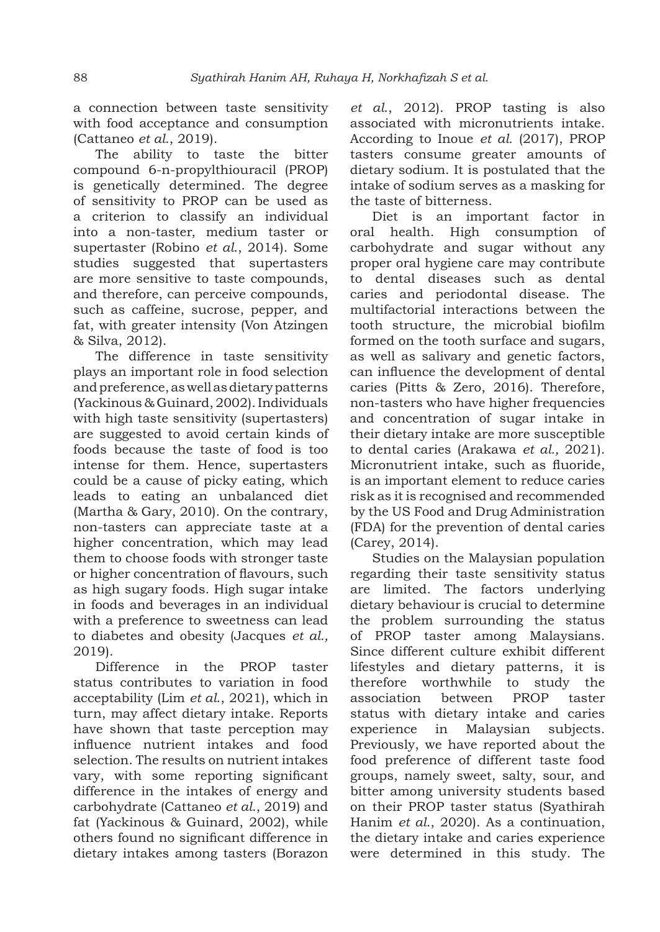a connection between taste sensitivity with food acceptance and consumption (Cattaneo *et al*., 2019).

The ability to taste the bitter compound 6-n-propylthiouracil (PROP) is genetically determined. The degree of sensitivity to PROP can be used as a criterion to classify an individual into a non-taster, medium taster or supertaster (Robino *et al*., 2014). Some studies suggested that supertasters are more sensitive to taste compounds, and therefore, can perceive compounds, such as caffeine, sucrose, pepper, and fat, with greater intensity (Von Atzingen & Silva, 2012).

The difference in taste sensitivity plays an important role in food selection and preference, as well as dietary patterns (Yackinous & Guinard, 2002). Individuals with high taste sensitivity (supertasters) are suggested to avoid certain kinds of foods because the taste of food is too intense for them. Hence, supertasters could be a cause of picky eating, which leads to eating an unbalanced diet (Martha & Gary, 2010). On the contrary, non-tasters can appreciate taste at a higher concentration, which may lead them to choose foods with stronger taste or higher concentration of flavours, such as high sugary foods. High sugar intake in foods and beverages in an individual with a preference to sweetness can lead to diabetes and obesity (Jacques *et al.,* 2019).

Difference in the PROP taster status contributes to variation in food acceptability (Lim *et al*., 2021), which in turn, may affect dietary intake. Reports have shown that taste perception may influence nutrient intakes and food selection. The results on nutrient intakes vary, with some reporting significant difference in the intakes of energy and carbohydrate (Cattaneo *et al*., 2019) and fat (Yackinous & Guinard, 2002), while others found no significant difference in dietary intakes among tasters (Borazon *et al*., 2012). PROP tasting is also associated with micronutrients intake. According to Inoue *et al.* (2017), PROP tasters consume greater amounts of dietary sodium. It is postulated that the intake of sodium serves as a masking for the taste of bitterness.

Diet is an important factor in oral health. High consumption of carbohydrate and sugar without any proper oral hygiene care may contribute to dental diseases such as dental caries and periodontal disease. The multifactorial interactions between the tooth structure, the microbial biofilm formed on the tooth surface and sugars, as well as salivary and genetic factors, can influence the development of dental caries (Pitts & Zero, 2016). Therefore, non-tasters who have higher frequencies and concentration of sugar intake in their dietary intake are more susceptible to dental caries (Arakawa *et al.,* 2021). Micronutrient intake, such as fluoride, is an important element to reduce caries risk as it is recognised and recommended by the US Food and Drug Administration (FDA) for the prevention of dental caries (Carey, 2014).

Studies on the Malaysian population regarding their taste sensitivity status are limited. The factors underlying dietary behaviour is crucial to determine the problem surrounding the status of PROP taster among Malaysians. Since different culture exhibit different lifestyles and dietary patterns, it is therefore worthwhile to study the association between PROP taster status with dietary intake and caries experience in Malaysian subjects. Previously, we have reported about the food preference of different taste food groups, namely sweet, salty, sour, and bitter among university students based on their PROP taster status (Syathirah Hanim *et al*., 2020). As a continuation, the dietary intake and caries experience were determined in this study. The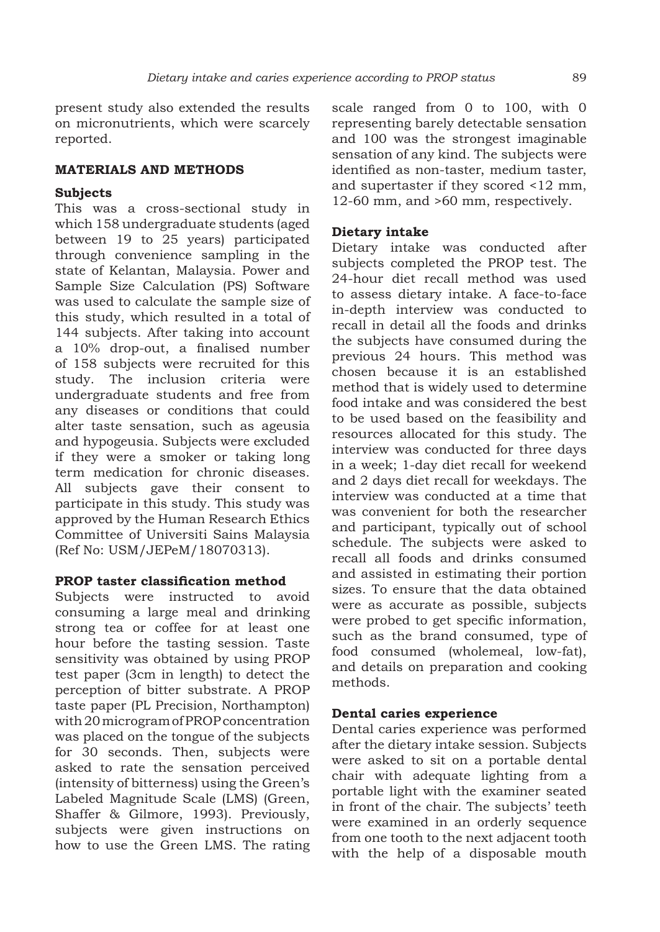present study also extended the results on micronutrients, which were scarcely reported.

### **MATERIALS AND METHODS**

## **Subjects**

This was a cross-sectional study in which 158 undergraduate students (aged between 19 to 25 years) participated through convenience sampling in the state of Kelantan, Malaysia. Power and Sample Size Calculation (PS) Software was used to calculate the sample size of this study, which resulted in a total of 144 subjects. After taking into account a 10% drop-out, a finalised number of 158 subjects were recruited for this study. The inclusion criteria were undergraduate students and free from any diseases or conditions that could alter taste sensation, such as ageusia and hypogeusia. Subjects were excluded if they were a smoker or taking long term medication for chronic diseases. All subjects gave their consent to participate in this study. This study was approved by the Human Research Ethics Committee of Universiti Sains Malaysia (Ref No: USM/JEPeM/18070313).

#### **PROP taster classification method**

Subjects were instructed to avoid consuming a large meal and drinking strong tea or coffee for at least one hour before the tasting session. Taste sensitivity was obtained by using PROP test paper (3cm in length) to detect the perception of bitter substrate. A PROP taste paper (PL Precision, Northampton) with 20 microgram of PROP concentration was placed on the tongue of the subjects for 30 seconds. Then, subjects were asked to rate the sensation perceived (intensity of bitterness) using the Green's Labeled Magnitude Scale (LMS) (Green, Shaffer & Gilmore, 1993). Previously, subjects were given instructions on how to use the Green LMS. The rating scale ranged from 0 to 100, with 0 representing barely detectable sensation and 100 was the strongest imaginable sensation of any kind. The subjects were identified as non-taster, medium taster, and supertaster if they scored <12 mm, 12-60 mm, and >60 mm, respectively.

### **Dietary intake**

Dietary intake was conducted after subjects completed the PROP test. The 24-hour diet recall method was used to assess dietary intake. A face-to-face in-depth interview was conducted to recall in detail all the foods and drinks the subjects have consumed during the previous 24 hours. This method was chosen because it is an established method that is widely used to determine food intake and was considered the best to be used based on the feasibility and resources allocated for this study. The interview was conducted for three days in a week; 1-day diet recall for weekend and 2 days diet recall for weekdays. The interview was conducted at a time that was convenient for both the researcher and participant, typically out of school schedule. The subjects were asked to recall all foods and drinks consumed and assisted in estimating their portion sizes. To ensure that the data obtained were as accurate as possible, subjects were probed to get specific information, such as the brand consumed, type of food consumed (wholemeal, low-fat), and details on preparation and cooking methods.

## **Dental caries experience**

Dental caries experience was performed after the dietary intake session. Subjects were asked to sit on a portable dental chair with adequate lighting from a portable light with the examiner seated in front of the chair. The subjects' teeth were examined in an orderly sequence from one tooth to the next adjacent tooth with the help of a disposable mouth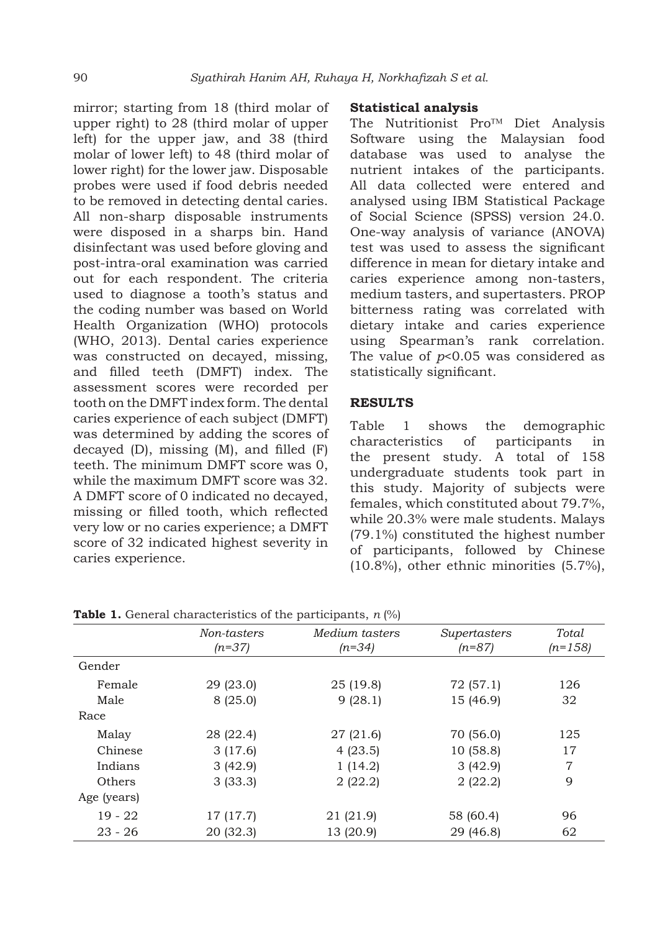mirror; starting from 18 (third molar of upper right) to 28 (third molar of upper left) for the upper jaw, and 38 (third molar of lower left) to 48 (third molar of lower right) for the lower jaw. Disposable probes were used if food debris needed to be removed in detecting dental caries. All non-sharp disposable instruments were disposed in a sharps bin. Hand disinfectant was used before gloving and post-intra-oral examination was carried out for each respondent. The criteria used to diagnose a tooth's status and the coding number was based on World Health Organization (WHO) protocols (WHO, 2013). Dental caries experience was constructed on decayed, missing, and filled teeth (DMFT) index. The assessment scores were recorded per tooth on the DMFT index form. The dental caries experience of each subject (DMFT) was determined by adding the scores of decayed (D), missing (M), and filled (F) teeth. The minimum DMFT score was 0, while the maximum DMFT score was 32. A DMFT score of 0 indicated no decayed, missing or filled tooth, which reflected very low or no caries experience; a DMFT score of 32 indicated highest severity in caries experience.

## **Statistical analysis**

The Nutritionist Pro™ Diet Analysis Software using the Malaysian food database was used to analyse the nutrient intakes of the participants. All data collected were entered and analysed using IBM Statistical Package of Social Science (SPSS) version 24.0. One-way analysis of variance (ANOVA) test was used to assess the significant difference in mean for dietary intake and caries experience among non-tasters, medium tasters, and supertasters. PROP bitterness rating was correlated with dietary intake and caries experience using Spearman's rank correlation. The value of *p*<0.05 was considered as statistically significant.

#### **RESULTS**

Table 1 shows the demographic characteristics of participants in the present study. A total of 158 undergraduate students took part in this study. Majority of subjects were females, which constituted about 79.7%, while 20.3% were male students. Malays (79.1%) constituted the highest number of participants, followed by Chinese (10.8%), other ethnic minorities (5.7%),

|             | Non-tasters<br>$(n=37)$ | Medium tasters<br>$(n=34)$ | Supertasters<br>$(n=87)$ | Total<br>$(n=158)$ |
|-------------|-------------------------|----------------------------|--------------------------|--------------------|
| Gender      |                         |                            |                          |                    |
| Female      | 29 (23.0)               | 25 (19.8)                  | 72 (57.1)                | 126                |
| Male        | 8(25.0)                 | 9(28.1)                    | 15 (46.9)                | 32                 |
| Race        |                         |                            |                          |                    |
| Malay       | 28 (22.4)               | 27 (21.6)                  | 70 (56.0)                | 125                |
| Chinese     | 3(17.6)                 | 4(23.5)                    | 10 (58.8)                | 17                 |
| Indians     | 3(42.9)                 | 1(14.2)                    | 3(42.9)                  | 7                  |
| Others      | 3(33.3)                 | 2(22.2)                    | 2(22.2)                  | 9                  |
| Age (years) |                         |                            |                          |                    |
| $19 - 22$   | 17 (17.7)               | 21 (21.9)                  | 58 (60.4)                | 96                 |
| $23 - 26$   | 20(32.3)                | 13 (20.9)                  | 29 (46.8)                | 62                 |

**Table 1.** General characteristics of the participants, *n* (%)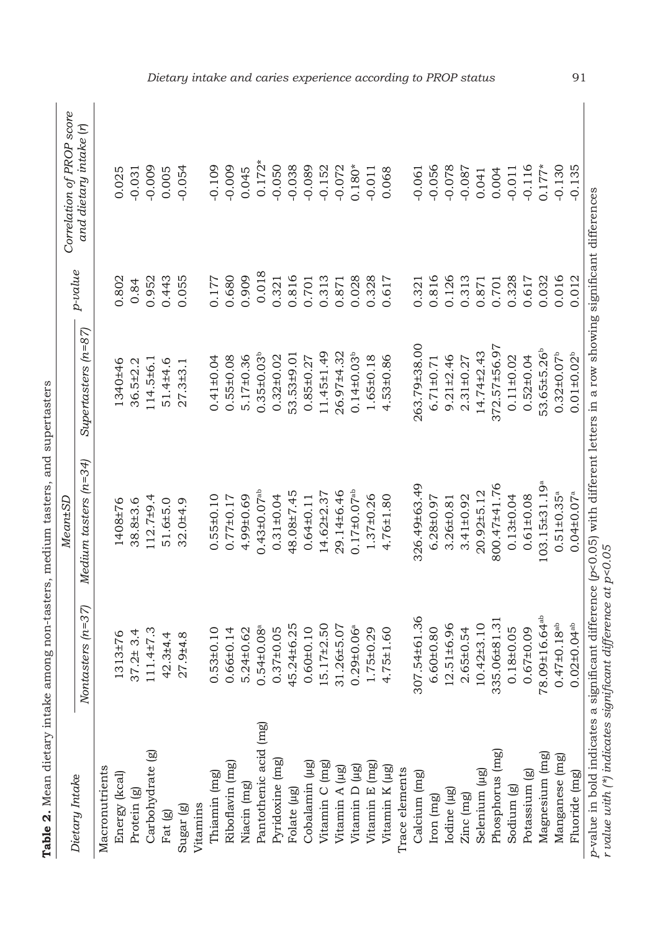|                       |                              | Table 2. Mean dietary intake among non-tasters, medium tasters, and supertasters |                              |           |                           |
|-----------------------|------------------------------|----------------------------------------------------------------------------------|------------------------------|-----------|---------------------------|
|                       |                              | Mean±SD                                                                          |                              |           | Correlation of PROP score |
| Dietary Intake        | Nontasters (n=37)            | Medium tasters (n=34)                                                            | $Superasters$ $(n=87)$       | - p-value | and dietary intake (1)    |
| Macronutrients        |                              |                                                                                  |                              |           |                           |
| Energy (kcal)         | 1313±76                      | 1408±76                                                                          | 1340±46                      | 0.802     | 0.025                     |
| Protein (g)           | $37.2 \pm 3.4$               | 38.8±3.6                                                                         | 36.5±2.2                     | 0.84      | $-0.031$                  |
| Carbohydrate (g)      | $111.4 \pm 7.3$              | $12.7 + 9.4$                                                                     | $114.5 + 6.1$                | 0.952     | $-0.009$                  |
| Fat (g)               | 42.3±4.4                     | 51.6±5.0                                                                         | 51.4±4.6                     | 0.443     | 0.005                     |
| Sugar (g)             | 27.9±4.8                     | 32.0±4.9                                                                         | $27.3 + 3.1$                 | 0.055     | 0.054                     |
| <b>Jitamins</b>       |                              |                                                                                  |                              |           |                           |
| Thiamin (mg)          | $0.53\pm0.10$                | $0.55 \pm 0.10$                                                                  | $0.41 \pm 0.04$              | 0.177     | $-0.109$                  |
| Riboflavin (mg)       | $0.66 \pm 0.14$              | $0.77 \pm 0.17$                                                                  | $0.55 \pm 0.08$              | 0.680     | $-0.009$                  |
| Niacin (mg)           | 5.24±0.62                    | 4.99±0.69                                                                        | $5.17 \pm 0.36$              | 0.909     | 0.045                     |
| Pantothenic acid (mg) | $0.54 \pm 0.08$ <sup>a</sup> | $0.43 + 0.07$ <sup>ab</sup>                                                      | $0.35 \pm 0.03$ <sup>b</sup> | 0.018     | $0.172*$                  |
| Pyridoxine (mg)       | $0.37+0.05$                  | $0.31 \pm 0.04$                                                                  | $0.32 \pm 0.02$              | 0.321     | 0.050                     |

| )<br>)<br>)                                                               |  |
|---------------------------------------------------------------------------|--|
| ;<br>;                                                                    |  |
| an dietam intalze amono non-tasters medium tasters and sumer              |  |
| $\ddot{\phantom{a}}$                                                      |  |
|                                                                           |  |
|                                                                           |  |
| 5<br>2<br>2<br>2<br>2<br>2<br>2<br>2<br>2<br>2<br>2<br>1<br>$\frac{1}{2}$ |  |
| ์<br>;<br>)                                                               |  |
| é<br>i<br>ı                                                               |  |

| $0.172*$                      | $-0.050$        | $-0.038$    | $-0.089$        | $-0.152$         | $-0.072$       | $0.180*$                      | $-0.011$        | 0.068           |                | $-0.061$     | $-0.056$        | $-0.078$         | $-0.087$        | 0.041            | 0.004           | $-0.011$              | $-0.116$        | $0.177*$                        | $-0.130$                      | 0.135                         |                                                                                                                             |
|-------------------------------|-----------------|-------------|-----------------|------------------|----------------|-------------------------------|-----------------|-----------------|----------------|--------------|-----------------|------------------|-----------------|------------------|-----------------|-----------------------|-----------------|---------------------------------|-------------------------------|-------------------------------|-----------------------------------------------------------------------------------------------------------------------------|
|                               |                 |             |                 |                  |                |                               |                 |                 |                |              |                 |                  |                 |                  |                 |                       |                 |                                 |                               |                               |                                                                                                                             |
| 0.018                         | 0.321           | 0.816       | 0.701           | 0.313            | 0.871          | 0.028                         | 0.328           | 0.617           |                | 0.321        | 0.816           | 0.126            | 0.313           | 0.871            | 0.701           | 0.328                 | 0.617           | 0.032                           | 0.016                         | 0.012                         |                                                                                                                             |
| $0.35 \pm 0.03$               | $0.32 \pm 0.02$ | 53.53±9.01  | $0.85 \pm 0.27$ | 11.45±1.49       | 26.97±4.32     | $0.14 \pm 0.03$               | 1.65±0.18       | $4.53 \pm 0.86$ |                | 263.79±38.00 | $6.71 \pm 0.71$ | $9.21 \pm 2.46$  | $2.31 \pm 0.27$ | $14.74 \pm 2.43$ | 372.57±56.97    | $0.11 \pm 0.02$       | $0.52 \pm 0.04$ | 53.65±5.26 <sup>b</sup>         | $0.32 \pm 0.07$ <sup>b</sup>  | $0.01 \pm 0.02$               |                                                                                                                             |
| $0.43 \pm 0.07$ <sup>ab</sup> | $0.31 \pm 0.04$ | 48.08±7.45  | $0.64 \pm 0.11$ | $14.62 \pm 2.37$ | 29.14±6.46     | $0.17 \pm 0.07$ <sup>ab</sup> | $1.37 \pm 0.26$ | $4.76 \pm 1.80$ |                | 326.49±63.49 | $6.28 \pm 0.97$ | $3.26 \pm 0.81$  | $3.41 \pm 0.92$ | $20.92 \pm 5.12$ | 800.47±41.76    | $0.13 \pm 0.04$       | $0.61 \pm 0.08$ | $103.15 \pm 31.19$ <sup>a</sup> | $0.51 \pm 0.35$ <sup>a</sup>  | $0.04 \pm 0.07$ <sup>a</sup>  | p-value in bold indicates a significant difference (p<0.05) with different letters in a row showing significant differences |
| $0.54 \pm 0.08$ <sup>a</sup>  | $0.37+0.05$     | -5.24±6.25  | $0.60 \pm 0.10$ | $15.17 \pm 2.50$ | $31.26 + 5.07$ | $0.29 \pm 0.06$ <sup>a</sup>  | $1.75 \pm 0.29$ | $4.75 \pm 1.60$ |                | 307.54±61.36 | $6.60 \pm 0.80$ | $12.51 \pm 6.96$ | $2.65 \pm 0.54$ | $10.42 \pm 3.10$ | 335.06±81.31    | $0.18 + 0.05$         | $0.67 + 0.09$   | 78.09±16.64 <sup>ab</sup>       | $0.47 \pm 0.18$ <sup>ab</sup> | $0.02 \pm 0.04$ <sup>ab</sup> |                                                                                                                             |
| Pantothenic acid (mg)         | Pyridoxine (mg) | Folate (µg) | Cobalamin (µg)  | Vitamin C (mg)   | Vitamin A (µg) | Vitamin D (µg)                | Vitamin E (mg)  | Vitamin K (µg)  | Trace elements | Calcium (mg) | Iron (mg)       | Iodine (µg)      | Zinc (mg)       | Selenium (µg)    | Phosphorus (mg) | Sodium <sub>(g)</sub> | Potassium (g)   | Magnesium (mg)                  | Manganese (mg)                | Fluoride (mg)                 | r value with (*) indicates significant difference at p<0.05                                                                 |

*Dietary intake and caries experience according to PROP status* 91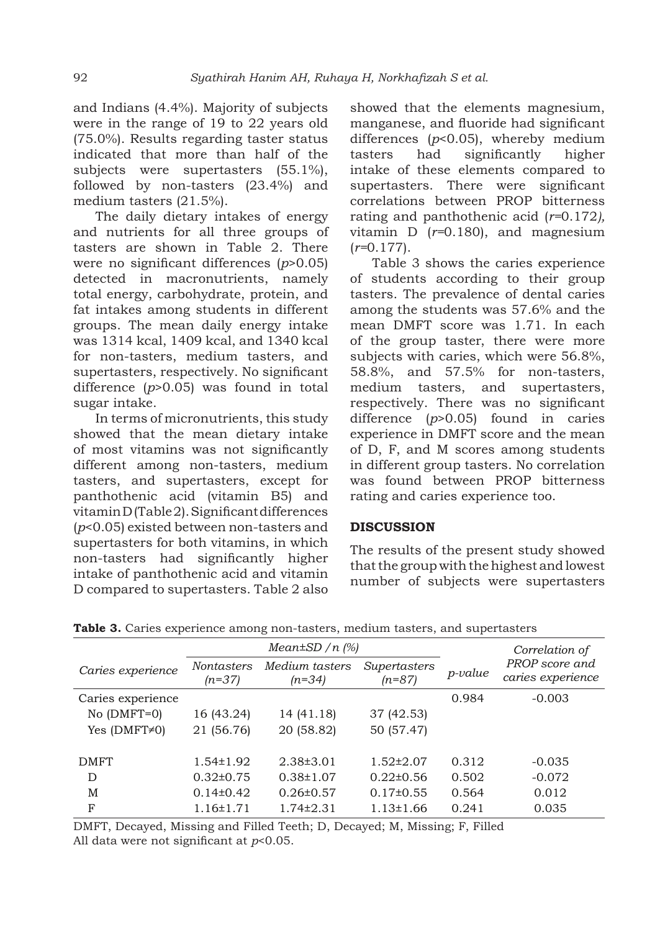and Indians (4.4%). Majority of subjects were in the range of 19 to 22 years old (75.0%). Results regarding taster status indicated that more than half of the subjects were supertasters (55.1%), followed by non-tasters (23.4%) and medium tasters (21.5%).

The daily dietary intakes of energy and nutrients for all three groups of tasters are shown in Table 2. There were no significant differences (*p*>0.05) detected in macronutrients, namely total energy, carbohydrate, protein, and fat intakes among students in different groups. The mean daily energy intake was 1314 kcal, 1409 kcal, and 1340 kcal for non-tasters, medium tasters, and supertasters, respectively. No significant difference (*p*>0.05) was found in total sugar intake.

In terms of micronutrients, this study showed that the mean dietary intake of most vitamins was not significantly different among non-tasters, medium tasters, and supertasters, except for panthothenic acid (vitamin B5) and vitamin D (Table 2). Significant differences (*p*<0.05) existed between non-tasters and supertasters for both vitamins, in which non-tasters had significantly higher intake of panthothenic acid and vitamin D compared to supertasters. Table 2 also showed that the elements magnesium, manganese, and fluoride had significant differences (*p*<0.05), whereby medium tasters had significantly higher intake of these elements compared to supertasters. There were significant correlations between PROP bitterness rating and panthothenic acid (*r=*0.172*),*  vitamin D (*r=*0.180), and magnesium (*r=*0.177).

Table 3 shows the caries experience of students according to their group tasters. The prevalence of dental caries among the students was 57.6% and the mean DMFT score was 1.71. In each of the group taster, there were more subjects with caries, which were 56.8%, 58.8%, and 57.5% for non-tasters, medium tasters, and supertasters, respectively. There was no significant difference (*p*>0.05) found in caries experience in DMFT score and the mean of D, F, and M scores among students in different group tasters. No correlation was found between PROP bitterness rating and caries experience too.

# **DISCUSSION**

The results of the present study showed that the group with the highest and lowest number of subjects were supertasters

|                     |                        | $Mean \pm SD/n$ (%)        |                          |                | Correlation of                      |  |  |
|---------------------|------------------------|----------------------------|--------------------------|----------------|-------------------------------------|--|--|
| Caries experience   | Nontasters<br>$(n=37)$ | Medium tasters<br>$(n=34)$ | Supertasters<br>$(n=87)$ | <i>p-value</i> | PROP score and<br>caries experience |  |  |
| Caries experience   |                        |                            |                          | 0.984          | $-0.003$                            |  |  |
| $No$ (DMFT=0)       | 16 (43.24)             | 14 (41.18)                 | 37 (42.53)               |                |                                     |  |  |
| Yes $(DMFT \neq 0)$ | 21 (56.76)             | 20 (58.82)                 | 50 (57.47)               |                |                                     |  |  |
|                     |                        |                            |                          |                |                                     |  |  |
| <b>DMFT</b>         | $1.54 \pm 1.92$        | $2.38\pm3.01$              | $1.52 \pm 2.07$          | 0.312          | $-0.035$                            |  |  |
| D                   | $0.32 \pm 0.75$        | $0.38 \pm 1.07$            | $0.22 \pm 0.56$          | 0.502          | $-0.072$                            |  |  |
| M                   | $0.14\pm0.42$          | $0.26 \pm 0.57$            | $0.17 \pm 0.55$          | 0.564          | 0.012                               |  |  |
| F                   | $1.16 \pm 1.71$        | $1.74 \pm 2.31$            | $1.13 \pm 1.66$          | 0.241          | 0.035                               |  |  |

**Table 3.** Caries experience among non-tasters, medium tasters, and supertasters

DMFT, Decayed, Missing and Filled Teeth; D, Decayed; M, Missing; F, Filled All data were not significant at *p*<0.05.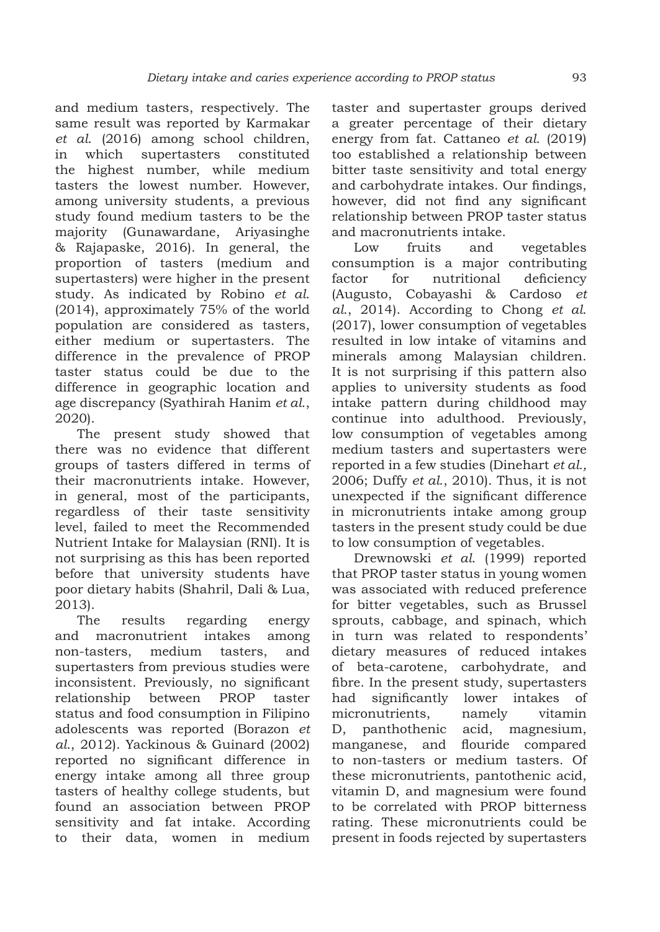and medium tasters, respectively. The same result was reported by Karmakar *et al*. (2016) among school children, in which supertasters constituted the highest number, while medium tasters the lowest number. However, among university students, a previous study found medium tasters to be the majority (Gunawardane, Ariyasinghe & Rajapaske, 2016). In general, the proportion of tasters (medium and supertasters) were higher in the present study. As indicated by Robino *et al*. (2014), approximately 75% of the world population are considered as tasters, either medium or supertasters. The difference in the prevalence of PROP taster status could be due to the difference in geographic location and age discrepancy (Syathirah Hanim *et al*., 2020).

The present study showed that there was no evidence that different groups of tasters differed in terms of their macronutrients intake. However, in general, most of the participants, regardless of their taste sensitivity level, failed to meet the Recommended Nutrient Intake for Malaysian (RNI). It is not surprising as this has been reported before that university students have poor dietary habits (Shahril, Dali & Lua, 2013).

The results regarding energy and macronutrient intakes among non-tasters, medium tasters, and supertasters from previous studies were inconsistent. Previously, no significant relationship between PROP taster status and food consumption in Filipino adolescents was reported (Borazon *et al*., 2012). Yackinous & Guinard (2002) reported no significant difference in energy intake among all three group tasters of healthy college students, but found an association between PROP sensitivity and fat intake. According to their data, women in medium

taster and supertaster groups derived a greater percentage of their dietary energy from fat. Cattaneo *et al*. (2019) too established a relationship between bitter taste sensitivity and total energy and carbohydrate intakes. Our findings, however, did not find any significant relationship between PROP taster status and macronutrients intake.

Low fruits and vegetables consumption is a major contributing factor for nutritional deficiency (Augusto, Cobayashi & Cardoso *et al*., 2014). According to Chong *et al*. (2017), lower consumption of vegetables resulted in low intake of vitamins and minerals among Malaysian children. It is not surprising if this pattern also applies to university students as food intake pattern during childhood may continue into adulthood. Previously, low consumption of vegetables among medium tasters and supertasters were reported in a few studies (Dinehart *et al.,* 2006; Duffy *et al*., 2010). Thus, it is not unexpected if the significant difference in micronutrients intake among group tasters in the present study could be due to low consumption of vegetables.

Drewnowski *et al*. (1999) reported that PROP taster status in young women was associated with reduced preference for bitter vegetables, such as Brussel sprouts, cabbage, and spinach, which in turn was related to respondents' dietary measures of reduced intakes of beta-carotene, carbohydrate, and fibre. In the present study, supertasters had significantly lower intakes of micronutrients, namely vitamin D, panthothenic acid, magnesium, manganese, and flouride compared to non-tasters or medium tasters. Of these micronutrients, pantothenic acid, vitamin D, and magnesium were found to be correlated with PROP bitterness rating. These micronutrients could be present in foods rejected by supertasters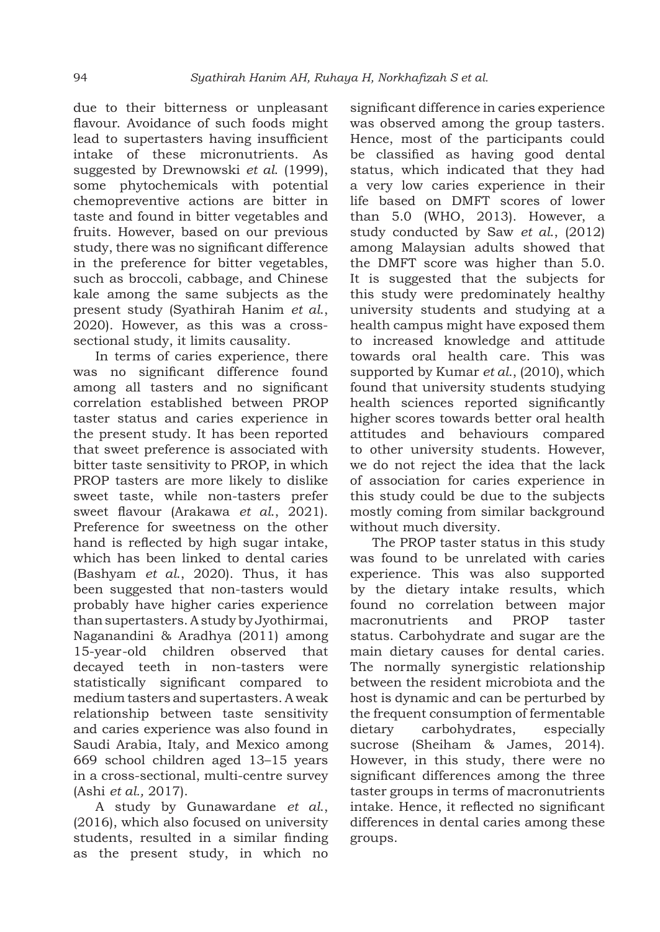due to their bitterness or unpleasant flavour. Avoidance of such foods might lead to supertasters having insufficient intake of these micronutrients. As suggested by Drewnowski *et al*. (1999), some phytochemicals with potential chemopreventive actions are bitter in taste and found in bitter vegetables and fruits. However, based on our previous study, there was no significant difference in the preference for bitter vegetables, such as broccoli, cabbage, and Chinese kale among the same subjects as the present study (Syathirah Hanim *et al*., 2020). However, as this was a crosssectional study, it limits causality.

In terms of caries experience, there was no significant difference found among all tasters and no significant correlation established between PROP taster status and caries experience in the present study. It has been reported that sweet preference is associated with bitter taste sensitivity to PROP, in which PROP tasters are more likely to dislike sweet taste, while non-tasters prefer sweet flavour (Arakawa *et al*., 2021). Preference for sweetness on the other hand is reflected by high sugar intake, which has been linked to dental caries (Bashyam *et al*., 2020). Thus, it has been suggested that non-tasters would probably have higher caries experience than supertasters. A study by Jyothirmai, Naganandini & Aradhya (2011) among 15-year-old children observed that decayed teeth in non-tasters were statistically significant compared to medium tasters and supertasters. A weak relationship between taste sensitivity and caries experience was also found in Saudi Arabia, Italy, and Mexico among 669 school children aged 13–15 years in a cross-sectional, multi-centre survey (Ashi *et al.,* 2017).

A study by Gunawardane *et al*., (2016), which also focused on university students, resulted in a similar finding as the present study, in which no significant difference in caries experience was observed among the group tasters. Hence, most of the participants could be classified as having good dental status, which indicated that they had a very low caries experience in their life based on DMFT scores of lower than 5.0 (WHO, 2013). However, a study conducted by Saw *et al*., (2012) among Malaysian adults showed that the DMFT score was higher than 5.0. It is suggested that the subjects for this study were predominately healthy university students and studying at a health campus might have exposed them to increased knowledge and attitude towards oral health care. This was supported by Kumar *et al*., (2010), which found that university students studying health sciences reported significantly higher scores towards better oral health attitudes and behaviours compared to other university students. However, we do not reject the idea that the lack of association for caries experience in this study could be due to the subjects mostly coming from similar background without much diversity.

The PROP taster status in this study was found to be unrelated with caries experience. This was also supported by the dietary intake results, which found no correlation between major macronutrients and PROP taster status. Carbohydrate and sugar are the main dietary causes for dental caries. The normally synergistic relationship between the resident microbiota and the host is dynamic and can be perturbed by the frequent consumption of fermentable dietary carbohydrates, especially sucrose (Sheiham & James, 2014). However, in this study, there were no significant differences among the three taster groups in terms of macronutrients intake. Hence, it reflected no significant differences in dental caries among these groups.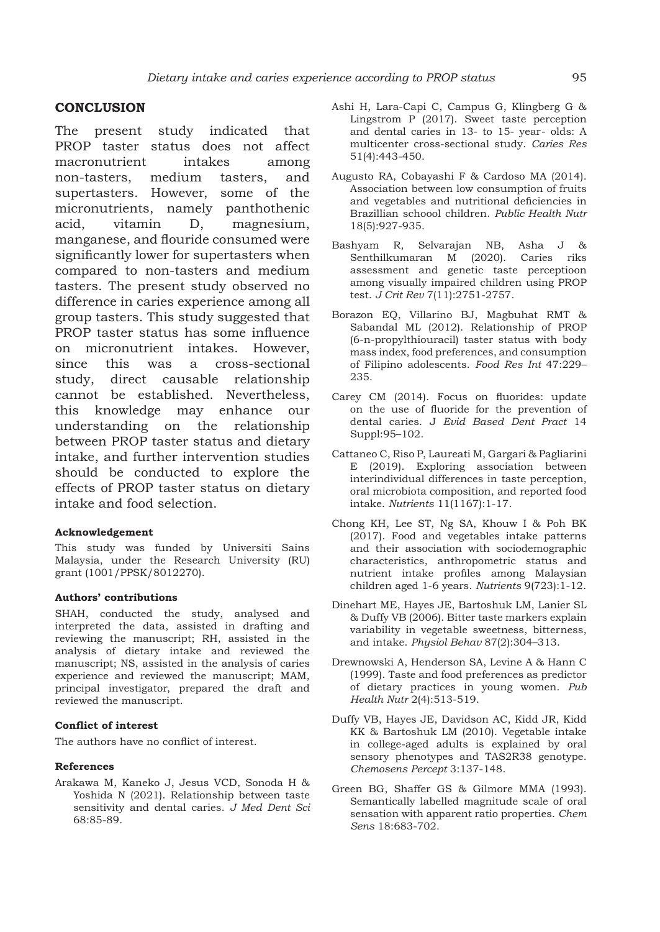# **CONCLUSION**

The present study indicated that PROP taster status does not affect macronutrient intakes among non-tasters, medium tasters, and supertasters. However, some of the micronutrients, namely panthothenic acid, vitamin D, magnesium, manganese, and flouride consumed were significantly lower for supertasters when compared to non-tasters and medium tasters. The present study observed no difference in caries experience among all group tasters. This study suggested that PROP taster status has some influence on micronutrient intakes. However, since this was a cross-sectional study, direct causable relationship cannot be established. Nevertheless, this knowledge may enhance our understanding on the relationship between PROP taster status and dietary intake, and further intervention studies should be conducted to explore the effects of PROP taster status on dietary intake and food selection.

#### **Acknowledgement**

This study was funded by Universiti Sains Malaysia, under the Research University (RU) grant (1001/PPSK/8012270).

#### **Authors' contributions**

SHAH, conducted the study, analysed and interpreted the data, assisted in drafting and reviewing the manuscript; RH, assisted in the analysis of dietary intake and reviewed the manuscript; NS, assisted in the analysis of caries experience and reviewed the manuscript; MAM, principal investigator, prepared the draft and reviewed the manuscript.

#### **Conflict of interest**

The authors have no conflict of interest.

#### **References**

Arakawa M, Kaneko J, Jesus VCD, Sonoda H & Yoshida N (2021). Relationship between taste sensitivity and dental caries. *J Med Dent Sci* 68:85-89.

- Ashi H, Lara-Capi C, Campus G, Klingberg G & Lingstrom P (2017). Sweet taste perception and dental caries in 13- to 15- year- olds: A multicenter cross-sectional study. *Caries Res* 51(4):443-450.
- Augusto RA, Cobayashi F & Cardoso MA (2014). Association between low consumption of fruits and vegetables and nutritional deficiencies in Brazillian schoool children. *Public Health Nutr*  18(5):927-935.
- Bashyam R, Selvarajan NB, Asha J & Senthilkumaran M (2020). Caries riks assessment and genetic taste perceptioon among visually impaired children using PROP test. *J Crit Rev* 7(11):2751-2757.
- Borazon EQ, Villarino BJ, Magbuhat RMT & Sabandal ML (2012). Relationship of PROP (6-n-propylthiouracil) taster status with body mass index, food preferences, and consumption of Filipino adolescents. *Food Res Int* 47:229– 235.
- Carey CM (2014). Focus on fluorides: update on the use of fluoride for the prevention of dental caries. J *Evid Based Dent Pract* 14 Suppl:95–102.
- Cattaneo C, Riso P, Laureati M, Gargari & Pagliarini E (2019). Exploring association between interindividual differences in taste perception, oral microbiota composition, and reported food intake. *Nutrients* 11(1167):1-17.
- Chong KH, Lee ST, Ng SA, Khouw I & Poh BK (2017). Food and vegetables intake patterns and their association with sociodemographic characteristics, anthropometric status and nutrient intake profiles among Malaysian children aged 1-6 years. *Nutrients* 9(723):1-12.
- Dinehart ME, Hayes JE, Bartoshuk LM, Lanier SL & Duffy VB (2006). Bitter taste markers explain variability in vegetable sweetness, bitterness, and intake. *Physiol Behav* 87(2):304–313.
- Drewnowski A, Henderson SA, Levine A & Hann C (1999). Taste and food preferences as predictor of dietary practices in young women. *Pub Health Nutr* 2(4):513-519.
- Duffy VB, Hayes JE, Davidson AC, Kidd JR, Kidd KK & Bartoshuk LM (2010). Vegetable intake in college-aged adults is explained by oral sensory phenotypes and TAS2R38 genotype. *Chemosens Percept* 3:137-148.
- Green BG, Shaffer GS & Gilmore MMA (1993). Semantically labelled magnitude scale of oral sensation with apparent ratio properties. *Chem Sens* 18:683-702.